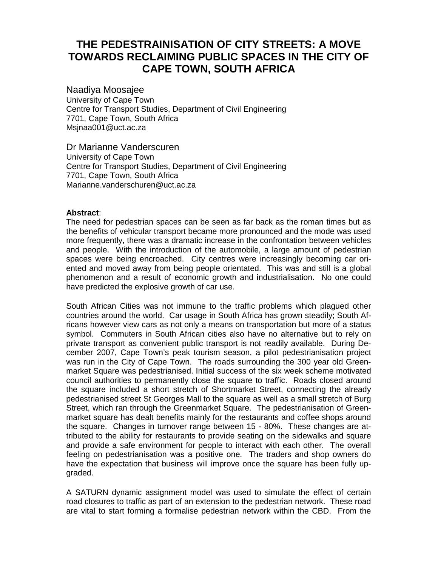# **THE PEDESTRAINISATION OF CITY STREETS: A MOVE TOWARDS RECLAIMING PUBLIC SPACES IN THE CITY OF CAPE TOWN, SOUTH AFRICA**

Naadiya Moosajee University of Cape Town Centre for Transport Studies, Department of Civil Engineering 7701, Cape Town, South Africa Msjnaa001@uct.ac.za

Dr Marianne Vanderscuren University of Cape Town Centre for Transport Studies, Department of Civil Engineering 7701, Cape Town, South Africa Marianne.vanderschuren@uct.ac.za

#### **Abstract**:

The need for pedestrian spaces can be seen as far back as the roman times but as the benefits of vehicular transport became more pronounced and the mode was used more frequently, there was a dramatic increase in the confrontation between vehicles and people. With the introduction of the automobile, a large amount of pedestrian spaces were being encroached. City centres were increasingly becoming car oriented and moved away from being people orientated. This was and still is a global phenomenon and a result of economic growth and industrialisation. No one could have predicted the explosive growth of car use.

South African Cities was not immune to the traffic problems which plagued other countries around the world. Car usage in South Africa has grown steadily; South Africans however view cars as not only a means on transportation but more of a status symbol. Commuters in South African cities also have no alternative but to rely on private transport as convenient public transport is not readily available. During December 2007, Cape Town's peak tourism season, a pilot pedestrianisation project was run in the City of Cape Town. The roads surrounding the 300 year old Greenmarket Square was pedestrianised. Initial success of the six week scheme motivated council authorities to permanently close the square to traffic. Roads closed around the square included a short stretch of Shortmarket Street, connecting the already pedestrianised street St Georges Mall to the square as well as a small stretch of Burg Street, which ran through the Greenmarket Square. The pedestrianisation of Greenmarket square has dealt benefits mainly for the restaurants and coffee shops around the square. Changes in turnover range between 15 - 80%. These changes are attributed to the ability for restaurants to provide seating on the sidewalks and square and provide a safe environment for people to interact with each other. The overall feeling on pedestrianisation was a positive one. The traders and shop owners do have the expectation that business will improve once the square has been fully upgraded.

A SATURN dynamic assignment model was used to simulate the effect of certain road closures to traffic as part of an extension to the pedestrian network. These road are vital to start forming a formalise pedestrian network within the CBD. From the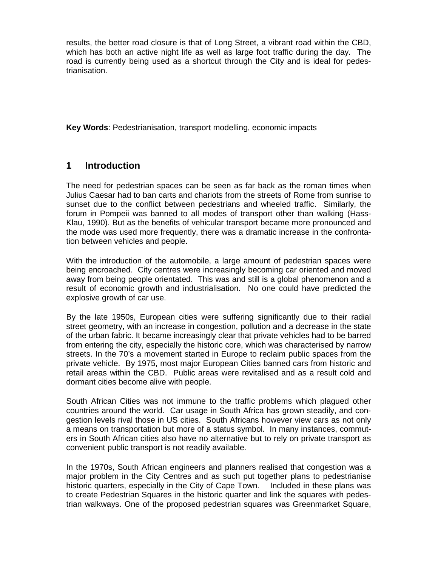results, the better road closure is that of Long Street, a vibrant road within the CBD, which has both an active night life as well as large foot traffic during the day. The road is currently being used as a shortcut through the City and is ideal for pedestrianisation.

**Key Words**: Pedestrianisation, transport modelling, economic impacts

### **1 Introduction**

The need for pedestrian spaces can be seen as far back as the roman times when Julius Caesar had to ban carts and chariots from the streets of Rome from sunrise to sunset due to the conflict between pedestrians and wheeled traffic. Similarly, the forum in Pompeii was banned to all modes of transport other than walking (Hass-Klau, 1990). But as the benefits of vehicular transport became more pronounced and the mode was used more frequently, there was a dramatic increase in the confrontation between vehicles and people.

With the introduction of the automobile, a large amount of pedestrian spaces were being encroached. City centres were increasingly becoming car oriented and moved away from being people orientated. This was and still is a global phenomenon and a result of economic growth and industrialisation. No one could have predicted the explosive growth of car use.

By the late 1950s, European cities were suffering significantly due to their radial street geometry, with an increase in congestion, pollution and a decrease in the state of the urban fabric. It became increasingly clear that private vehicles had to be barred from entering the city, especially the historic core, which was characterised by narrow streets. In the 70's a movement started in Europe to reclaim public spaces from the private vehicle. By 1975, most major European Cities banned cars from historic and retail areas within the CBD. Public areas were revitalised and as a result cold and dormant cities become alive with people.

South African Cities was not immune to the traffic problems which plagued other countries around the world. Car usage in South Africa has grown steadily, and congestion levels rival those in US cities. South Africans however view cars as not only a means on transportation but more of a status symbol. In many instances, commuters in South African cities also have no alternative but to rely on private transport as convenient public transport is not readily available.

In the 1970s, South African engineers and planners realised that congestion was a major problem in the City Centres and as such put together plans to pedestrianise historic quarters, especially in the City of Cape Town. Included in these plans was to create Pedestrian Squares in the historic quarter and link the squares with pedestrian walkways. One of the proposed pedestrian squares was Greenmarket Square,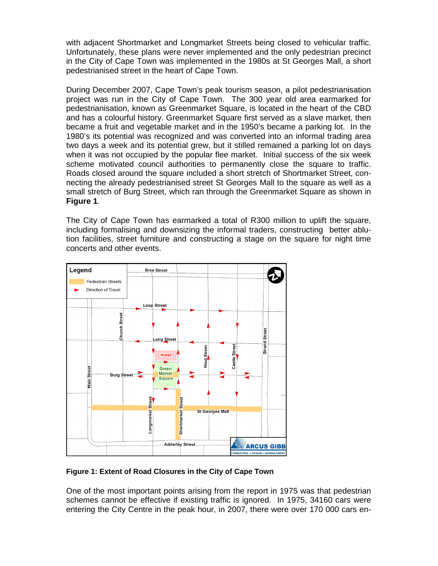with adjacent Shortmarket and Longmarket Streets being closed to vehicular traffic. Unfortunately, these plans were never implemented and the only pedestrian precinct in the City of Cape Town was implemented in the 1980s at St Georges Mall, a short pedestrianised street in the heart of Cape Town.

During December 2007, Cape Town's peak tourism season, a pilot pedestrianisation project was run in the City of Cape Town. The 300 year old area earmarked for pedestrianisation, known as Greenmarket Square, is located in the heart of the CBD and has a colourful history. Greenmarket Square first served as a slave market, then became a fruit and vegetable market and in the 1950's became a parking lot. In the 1980's its potential was recognized and was converted into an informal trading area two days a week and its potential grew, but it stilled remained a parking lot on days when it was not occupied by the popular flee market. Initial success of the six week scheme motivated council authorities to permanently close the square to traffic. Roads closed around the square included a short stretch of Shortmarket Street, connecting the already pedestrianised street St Georges Mall to the square as well as a small stretch of Burg Street, which ran through the Greenmarket Square as shown in **Figure 1**.

The City of Cape Town has earmarked a total of R300 million to uplift the square, including formalising and downsizing the informal traders, constructing better ablution facilities, street furniture and constructing a stage on the square for night time concerts and other events.



#### **Figure 1: Extent of Road Closures in the City of Cape Town**

One of the most important points arising from the report in 1975 was that pedestrian schemes cannot be effective if existing traffic is ignored. In 1975, 34160 cars were entering the City Centre in the peak hour, in 2007, there were over 170 000 cars en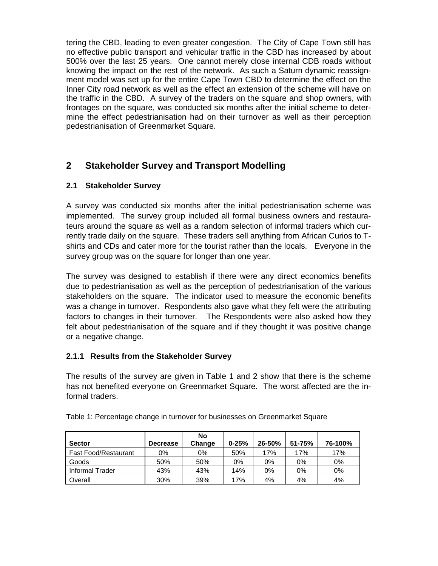tering the CBD, leading to even greater congestion. The City of Cape Town still has no effective public transport and vehicular traffic in the CBD has increased by about 500% over the last 25 years. One cannot merely close internal CDB roads without knowing the impact on the rest of the network. As such a Saturn dynamic reassignment model was set up for the entire Cape Town CBD to determine the effect on the Inner City road network as well as the effect an extension of the scheme will have on the traffic in the CBD. A survey of the traders on the square and shop owners, with frontages on the square, was conducted six months after the initial scheme to determine the effect pedestrianisation had on their turnover as well as their perception pedestrianisation of Greenmarket Square.

## **2 Stakeholder Survey and Transport Modelling**

#### **2.1 Stakeholder Survey**

A survey was conducted six months after the initial pedestrianisation scheme was implemented. The survey group included all formal business owners and restaurateurs around the square as well as a random selection of informal traders which currently trade daily on the square. These traders sell anything from African Curios to Tshirts and CDs and cater more for the tourist rather than the locals. Everyone in the survey group was on the square for longer than one year.

The survey was designed to establish if there were any direct economics benefits due to pedestrianisation as well as the perception of pedestrianisation of the various stakeholders on the square. The indicator used to measure the economic benefits was a change in turnover. Respondents also gave what they felt were the attributing factors to changes in their turnover. The Respondents were also asked how they felt about pedestrianisation of the square and if they thought it was positive change or a negative change.

#### **2.1.1 Results from the Stakeholder Survey**

The results of the survey are given in Table 1 and 2 show that there is the scheme has not benefited everyone on Greenmarket Square. The worst affected are the informal traders.

|                             |                 | No     |           |        |        |         |
|-----------------------------|-----------------|--------|-----------|--------|--------|---------|
| <b>Sector</b>               | <b>Decrease</b> | Change | $0 - 25%$ | 26-50% | 51-75% | 76-100% |
| <b>Fast Food/Restaurant</b> | $0\%$           | 0%     | 50%       | 17%    | 17%    | 17%     |
| Goods                       | 50%             | 50%    | 0%        | 0%     | 0%     | $0\%$   |
| Informal Trader             | 43%             | 43%    | 14%       | 0%     | $0\%$  | 0%      |
| Overall                     | 30%             | 39%    | 17%       | 4%     | 4%     | 4%      |

Table 1: Percentage change in turnover for businesses on Greenmarket Square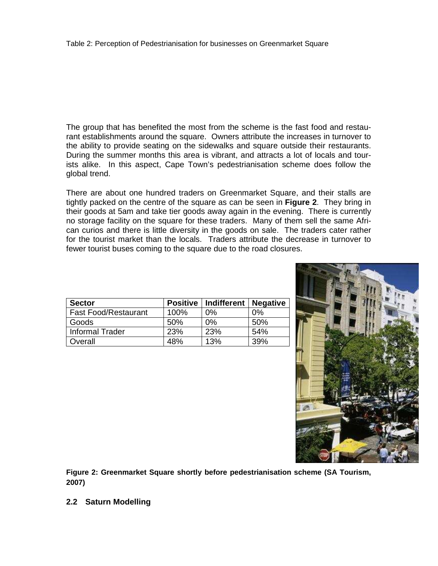The group that has benefited the most from the scheme is the fast food and restaurant establishments around the square. Owners attribute the increases in turnover to the ability to provide seating on the sidewalks and square outside their restaurants. During the summer months this area is vibrant, and attracts a lot of locals and tourists alike. In this aspect, Cape Town's pedestrianisation scheme does follow the global trend.

There are about one hundred traders on Greenmarket Square, and their stalls are tightly packed on the centre of the square as can be seen in **Figure 2**. They bring in their goods at 5am and take tier goods away again in the evening. There is currently no storage facility on the square for these traders. Many of them sell the same African curios and there is little diversity in the goods on sale. The traders cater rather for the tourist market than the locals. Traders attribute the decrease in turnover to fewer tourist buses coming to the square due to the road closures.

| <b>Sector</b>               |      | Positive   Indifferent   Negative |       |  |
|-----------------------------|------|-----------------------------------|-------|--|
| <b>Fast Food/Restaurant</b> | 100% | $0\%$                             | $0\%$ |  |
| Goods                       | 50%  | $0\%$                             | 50%   |  |
| <b>Informal Trader</b>      | 23%  | 23%                               | 54%   |  |
| Overall                     | 48%  | 13%                               | 39%   |  |



**Figure 2: Greenmarket Square shortly before pedestrianisation scheme (SA Tourism, 2007)** 

**2.2 Saturn Modelling**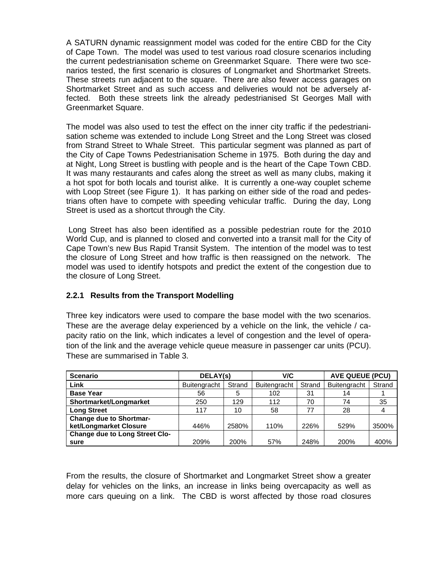A SATURN dynamic reassignment model was coded for the entire CBD for the City of Cape Town. The model was used to test various road closure scenarios including the current pedestrianisation scheme on Greenmarket Square. There were two scenarios tested, the first scenario is closures of Longmarket and Shortmarket Streets. These streets run adjacent to the square. There are also fewer access garages on Shortmarket Street and as such access and deliveries would not be adversely affected. Both these streets link the already pedestrianised St Georges Mall with Greenmarket Square.

The model was also used to test the effect on the inner city traffic if the pedestrianisation scheme was extended to include Long Street and the Long Street was closed from Strand Street to Whale Street. This particular segment was planned as part of the City of Cape Towns Pedestrianisation Scheme in 1975. Both during the day and at Night, Long Street is bustling with people and is the heart of the Cape Town CBD. It was many restaurants and cafes along the street as well as many clubs, making it a hot spot for both locals and tourist alike. It is currently a one-way couplet scheme with Loop Street (see Figure 1). It has parking on either side of the road and pedestrians often have to compete with speeding vehicular traffic. During the day, Long Street is used as a shortcut through the City.

 Long Street has also been identified as a possible pedestrian route for the 2010 World Cup, and is planned to closed and converted into a transit mall for the City of Cape Town's new Bus Rapid Transit System. The intention of the model was to test the closure of Long Street and how traffic is then reassigned on the network. The model was used to identify hotspots and predict the extent of the congestion due to the closure of Long Street.

#### **2.2.1 Results from the Transport Modelling**

Three key indicators were used to compare the base model with the two scenarios. These are the average delay experienced by a vehicle on the link, the vehicle / capacity ratio on the link, which indicates a level of congestion and the level of operation of the link and the average vehicle queue measure in passenger car units (PCU). These are summarised in Table 3.

| <b>Scenario</b>                       | DELAY(s)     |        | V/C          |        | AVE QUEUE (PCU) |        |
|---------------------------------------|--------------|--------|--------------|--------|-----------------|--------|
| Link                                  | Buitengracht | Strand | Buitengracht | Strand | Buitengracht    | Strand |
| <b>Base Year</b>                      | 56           | 5      | 102          | 31     | 14              |        |
| Shortmarket/Longmarket                | 250          | 129    | 112          | 70     | 74              | 35     |
| <b>Long Street</b>                    | 117          | 10     | 58           | 77     | 28              | 4      |
| <b>Change due to Shortmar-</b>        |              |        |              |        |                 |        |
| ket/Longmarket Closure                | 446%         | 2580%  | 110%         | 226%   | 529%            | 3500%  |
| <b>Change due to Long Street Clo-</b> |              |        |              |        |                 |        |
| sure                                  | 209%         | 200%   | 57%          | 248%   | 200%            | 400%   |

From the results, the closure of Shortmarket and Longmarket Street show a greater delay for vehicles on the links, an increase in links being overcapacity as well as more cars queuing on a link. The CBD is worst affected by those road closures